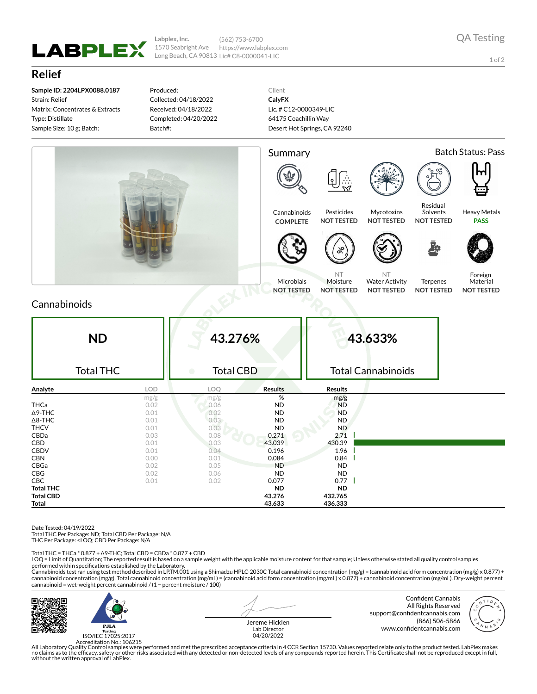

**Labplex, Inc.** 1570 Seabright Ave Long Beach, CA 90813 Lic# C8-0000041-LIC (562) 753-6700 https://www.labplex.com

1 of 2

## **Relief**

**Sample ID: 2204LPX0088.0187** Strain: Relief Matrix: Concentrates & Extracts Type: Distillate Sample Size: 10 g; Batch:

Produced: Collected: 04/18/2022 Received: 04/18/2022 Completed: 04/20/2022 Batch#:

Client **CalyFX** Lic. # C12-0000349-LIC 64175 Coachillin Way Desert Hot Springs, CA 92240



## Cannabinoids

| <b>ND</b><br><b>Total THC</b> |      | 43.276%<br><b>Total CBD</b><br>$\bullet$ |                | 43.633%<br><b>Total Cannabinoids</b> |  |  |
|-------------------------------|------|------------------------------------------|----------------|--------------------------------------|--|--|
| Analyte                       | LOD  | LOQ                                      | <b>Results</b> | <b>Results</b>                       |  |  |
|                               | mg/g | mg/g                                     | %              | mg/g                                 |  |  |
| <b>THCa</b>                   | 0.02 | 0.06                                     | <b>ND</b>      | <b>ND</b>                            |  |  |
| $\Delta$ 9-THC                | 0.01 | 0.02                                     | <b>ND</b>      | <b>ND</b>                            |  |  |
| $\Delta$ 8-THC                | 0.01 | 0.03                                     | <b>ND</b>      | <b>ND</b>                            |  |  |
| <b>THCV</b>                   | 0.01 | 0.03                                     | <b>ND</b>      | ND                                   |  |  |
| CBDa                          | 0.03 | 0.08                                     | 0.271          | 2.71                                 |  |  |
| CBD                           | 0.01 | 0.03                                     | 43.039         | 430.39                               |  |  |
| <b>CBDV</b>                   | 0.01 | 0.04                                     | 0.196          | 1.96                                 |  |  |
| <b>CBN</b>                    | 0.00 | 0.01                                     | 0.084          | 0.84                                 |  |  |
| CBGa                          | 0.02 | 0.05                                     | <b>ND</b>      | <b>ND</b>                            |  |  |
| CBG                           | 0.02 | 0.06                                     | <b>ND</b>      | <b>ND</b>                            |  |  |
| CBC                           | 0.01 | 0.02                                     | 0.077          | $0.77 \parallel$                     |  |  |
| <b>Total THC</b>              |      |                                          | <b>ND</b>      | <b>ND</b>                            |  |  |
| <b>Total CBD</b>              |      |                                          | 43.276         | 432.765                              |  |  |
| <b>Total</b>                  |      |                                          | 43.633         | 436.333                              |  |  |

Date Tested: 04/19/2022

Total THC Per Package: ND; Total CBD Per Package: N/A

THC Per Package: <LOQ; CBD Per Package: N/A

Total THC = THCa \* 0.877 + ∆9-THC; Total CBD = CBDa \* 0.877 + CBD

LOQ = Limit of Quantitation; The reported result is based on a sample weight with the applicable moisture content for that sample; Unless otherwise stated all quality control samples performed within specifications established by the Laboratory.

Cannabinoids test ran using test method described in LP.TM.001 using a Shimadzu HPLC-2030C Total cannabinoid concentration (mg/g) = (cannabinoid acid form concentration (mg/g) x 0.877) +<br>cannabinoid concentration (mg/g). T cannabinoid = wet-weight percent cannabinoid / (1 − percent moisture / 100)



 $P.H.A$ ISO/IEC 17025:2017 Jereme Hicklen Lab Director 04/20/2022

Confident Cannabis All Rights Reserved support@confidentcannabis.com (866) 506-5866 www.confidentcannabis.com



Accreditation No.: 106215<br>All Laboratory Quality Control samples were performed and met the prescribed acceptance criteria in 4 CCR Section 15730. Values reported relate only to the product tested. LabPlex makes<br>Ino claims without the written approval of LabPlex.